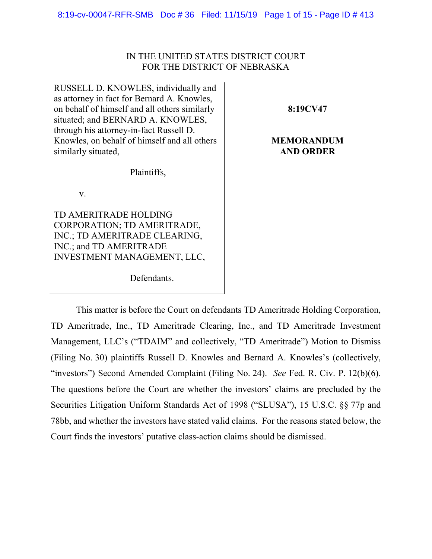### IN THE UNITED STATES DISTRICT COURT FOR THE DISTRICT OF NEBRASKA

RUSSELL D. KNOWLES, individually and as attorney in fact for Bernard A. Knowles, on behalf of himself and all others similarly situated; and BERNARD A. KNOWLES, through his attorney-in-fact Russell D. Knowles, on behalf of himself and all others similarly situated,

**8:19CV47**

# **MEMORANDUM AND ORDER**

Plaintiffs,

v.

TD AMERITRADE HOLDING CORPORATION; TD AMERITRADE, INC.; TD AMERITRADE CLEARING, INC.; and TD AMERITRADE INVESTMENT MANAGEMENT, LLC,

Defendants.

This matter is before the Court on defendants TD Ameritrade Holding Corporation, TD Ameritrade, Inc., TD Ameritrade Clearing, Inc., and TD Ameritrade Investment Management, LLC's ("TDAIM" and collectively, "TD Ameritrade") Motion to Dismiss (Filing No. 30) plaintiffs Russell D. Knowles and Bernard A. Knowles's (collectively, "investors") Second Amended Complaint (Filing No. 24). *See* Fed. R. Civ. P. 12(b)(6). The questions before the Court are whether the investors' claims are precluded by the Securities Litigation Uniform Standards Act of 1998 ("SLUSA"), 15 U.S.C. §§ 77p and 78bb, and whether the investors have stated valid claims. For the reasons stated below, the Court finds the investors' putative class-action claims should be dismissed.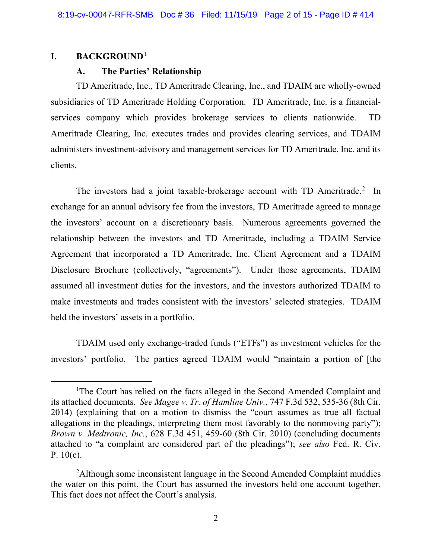#### **I. BACKGROUND**<sup>1</sup>

#### **A. The Parties' Relationship**

TD Ameritrade, Inc., TD Ameritrade Clearing, Inc., and TDAIM are wholly-owned subsidiaries of TD Ameritrade Holding Corporation. TD Ameritrade, Inc. is a financialservices company which provides brokerage services to clients nationwide. TD Ameritrade Clearing, Inc. executes trades and provides clearing services, and TDAIM administers investment-advisory and management services for TD Ameritrade, Inc. and its clients.

The investors had a joint taxable-brokerage account with TD Ameritrade.<sup>2</sup> In exchange for an annual advisory fee from the investors, TD Ameritrade agreed to manage the investors' account on a discretionary basis. Numerous agreements governed the relationship between the investors and TD Ameritrade, including a TDAIM Service Agreement that incorporated a TD Ameritrade, Inc. Client Agreement and a TDAIM Disclosure Brochure (collectively, "agreements"). Under those agreements, TDAIM assumed all investment duties for the investors, and the investors authorized TDAIM to make investments and trades consistent with the investors' selected strategies. TDAIM held the investors' assets in a portfolio.

TDAIM used only exchange-traded funds ("ETFs") as investment vehicles for the investors' portfolio. The parties agreed TDAIM would "maintain a portion of [the

<sup>&</sup>lt;u>1</u> <sup>1</sup>The Court has relied on the facts alleged in the Second Amended Complaint and its attached documents. *See Magee v. Tr. of Hamline Univ.*, 747 F.3d 532, 535-36 (8th Cir. 2014) (explaining that on a motion to dismiss the "court assumes as true all factual allegations in the pleadings, interpreting them most favorably to the nonmoving party"); *Brown v. Medtronic, Inc.*, 628 F.3d 451, 459-60 (8th Cir. 2010) (concluding documents attached to "a complaint are considered part of the pleadings"); *see also* Fed. R. Civ. P. 10(c).

<sup>&</sup>lt;sup>2</sup>Although some inconsistent language in the Second Amended Complaint muddies the water on this point, the Court has assumed the investors held one account together. This fact does not affect the Court's analysis.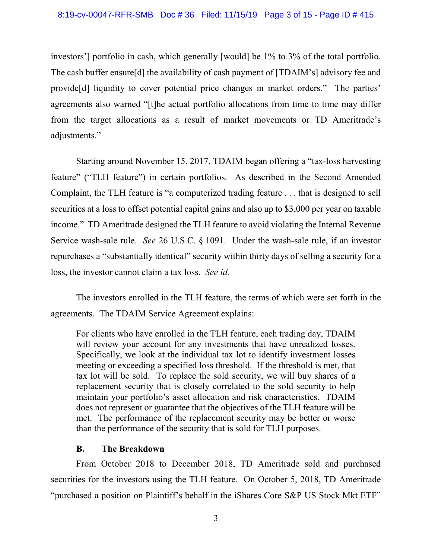investors'] portfolio in cash, which generally [would] be 1% to 3% of the total portfolio. The cash buffer ensure[d] the availability of cash payment of [TDAIM's] advisory fee and provide[d] liquidity to cover potential price changes in market orders." The parties' agreements also warned "[t]he actual portfolio allocations from time to time may differ from the target allocations as a result of market movements or TD Ameritrade's adjustments."

Starting around November 15, 2017, TDAIM began offering a "tax-loss harvesting feature" ("TLH feature") in certain portfolios. As described in the Second Amended Complaint, the TLH feature is "a computerized trading feature . . . that is designed to sell securities at a loss to offset potential capital gains and also up to \$3,000 per year on taxable income." TD Ameritrade designed the TLH feature to avoid violating the Internal Revenue Service wash-sale rule. *See* 26 U.S.C. § 1091. Under the wash-sale rule, if an investor repurchases a "substantially identical" security within thirty days of selling a security for a loss, the investor cannot claim a tax loss. *See id.* 

The investors enrolled in the TLH feature, the terms of which were set forth in the agreements. The TDAIM Service Agreement explains:

For clients who have enrolled in the TLH feature, each trading day, TDAIM will review your account for any investments that have unrealized losses. Specifically, we look at the individual tax lot to identify investment losses meeting or exceeding a specified loss threshold. If the threshold is met, that tax lot will be sold. To replace the sold security, we will buy shares of a replacement security that is closely correlated to the sold security to help maintain your portfolio's asset allocation and risk characteristics. TDAIM does not represent or guarantee that the objectives of the TLH feature will be met. The performance of the replacement security may be better or worse than the performance of the security that is sold for TLH purposes.

# **B. The Breakdown**

From October 2018 to December 2018, TD Ameritrade sold and purchased securities for the investors using the TLH feature. On October 5, 2018, TD Ameritrade "purchased a position on Plaintiff's behalf in the iShares Core S&P US Stock Mkt ETF"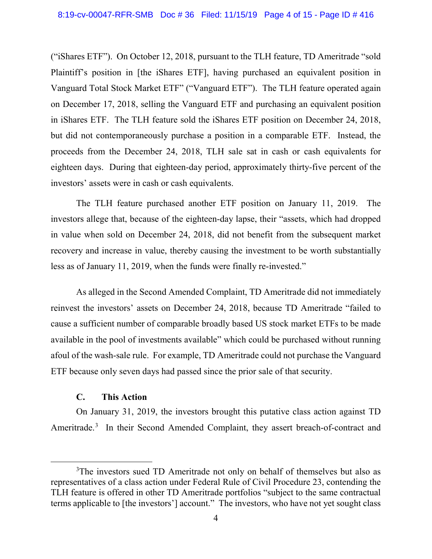("iShares ETF"). On October 12, 2018, pursuant to the TLH feature, TD Ameritrade "sold Plaintiff's position in [the iShares ETF], having purchased an equivalent position in Vanguard Total Stock Market ETF" ("Vanguard ETF"). The TLH feature operated again on December 17, 2018, selling the Vanguard ETF and purchasing an equivalent position in iShares ETF. The TLH feature sold the iShares ETF position on December 24, 2018, but did not contemporaneously purchase a position in a comparable ETF. Instead, the proceeds from the December 24, 2018, TLH sale sat in cash or cash equivalents for eighteen days. During that eighteen-day period, approximately thirty-five percent of the investors' assets were in cash or cash equivalents.

The TLH feature purchased another ETF position on January 11, 2019. The investors allege that, because of the eighteen-day lapse, their "assets, which had dropped in value when sold on December 24, 2018, did not benefit from the subsequent market recovery and increase in value, thereby causing the investment to be worth substantially less as of January 11, 2019, when the funds were finally re-invested."

 As alleged in the Second Amended Complaint, TD Ameritrade did not immediately reinvest the investors' assets on December 24, 2018, because TD Ameritrade "failed to cause a sufficient number of comparable broadly based US stock market ETFs to be made available in the pool of investments available" which could be purchased without running afoul of the wash-sale rule. For example, TD Ameritrade could not purchase the Vanguard ETF because only seven days had passed since the prior sale of that security.

# **C. This Action**

 On January 31, 2019, the investors brought this putative class action against TD Ameritrade.<sup>3</sup> In their Second Amended Complaint, they assert breach-of-contract and

 $\overline{\phantom{a}}$ <sup>3</sup>The investors sued TD Ameritrade not only on behalf of themselves but also as representatives of a class action under Federal Rule of Civil Procedure 23, contending the TLH feature is offered in other TD Ameritrade portfolios "subject to the same contractual terms applicable to [the investors'] account." The investors, who have not yet sought class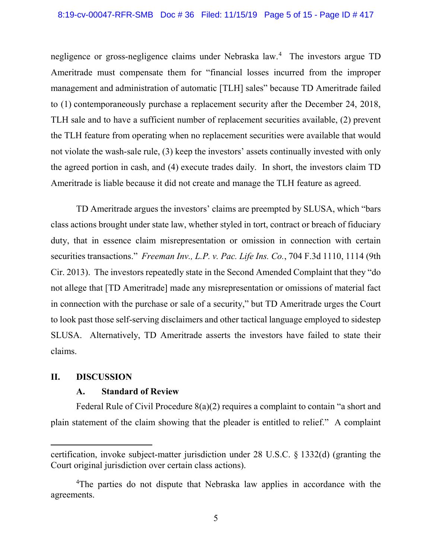#### 8:19-cv-00047-RFR-SMB Doc # 36 Filed: 11/15/19 Page 5 of 15 - Page ID # 417

negligence or gross-negligence claims under Nebraska law. 4 The investors argue TD Ameritrade must compensate them for "financial losses incurred from the improper management and administration of automatic [TLH] sales" because TD Ameritrade failed to (1) contemporaneously purchase a replacement security after the December 24, 2018, TLH sale and to have a sufficient number of replacement securities available, (2) prevent the TLH feature from operating when no replacement securities were available that would not violate the wash-sale rule, (3) keep the investors' assets continually invested with only the agreed portion in cash, and (4) execute trades daily. In short, the investors claim TD Ameritrade is liable because it did not create and manage the TLH feature as agreed.

TD Ameritrade argues the investors' claims are preempted by SLUSA, which "bars class actions brought under state law, whether styled in tort, contract or breach of fiduciary duty, that in essence claim misrepresentation or omission in connection with certain securities transactions." *Freeman Inv., L.P. v. Pac. Life Ins. Co.*, 704 F.3d 1110, 1114 (9th Cir. 2013). The investors repeatedly state in the Second Amended Complaint that they "do not allege that [TD Ameritrade] made any misrepresentation or omissions of material fact in connection with the purchase or sale of a security," but TD Ameritrade urges the Court to look past those self-serving disclaimers and other tactical language employed to sidestep SLUSA. Alternatively, TD Ameritrade asserts the investors have failed to state their claims.

### **II. DISCUSSION**

 $\overline{a}$ 

#### **A. Standard of Review**

Federal Rule of Civil Procedure 8(a)(2) requires a complaint to contain "a short and plain statement of the claim showing that the pleader is entitled to relief." A complaint

certification, invoke subject-matter jurisdiction under 28 U.S.C. § 1332(d) (granting the Court original jurisdiction over certain class actions).

<sup>&</sup>lt;sup>4</sup>The parties do not dispute that Nebraska law applies in accordance with the agreements.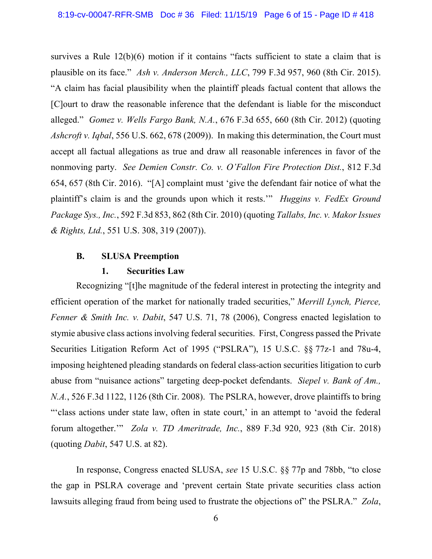survives a Rule 12(b)(6) motion if it contains "facts sufficient to state a claim that is plausible on its face." *Ash v. Anderson Merch., LLC*, 799 F.3d 957, 960 (8th Cir. 2015). "A claim has facial plausibility when the plaintiff pleads factual content that allows the [C]ourt to draw the reasonable inference that the defendant is liable for the misconduct alleged." *Gomez v. Wells Fargo Bank, N.A.*, 676 F.3d 655, 660 (8th Cir. 2012) (quoting *Ashcroft v. Iqbal*, 556 U.S. 662, 678 (2009)). In making this determination, the Court must accept all factual allegations as true and draw all reasonable inferences in favor of the nonmoving party. *See Demien Constr. Co. v. O'Fallon Fire Protection Dist.*, 812 F.3d 654, 657 (8th Cir. 2016). "[A] complaint must 'give the defendant fair notice of what the plaintiff's claim is and the grounds upon which it rests.'" *Huggins v. FedEx Ground Package Sys., Inc.*, 592 F.3d 853, 862 (8th Cir. 2010) (quoting *Tallabs, Inc. v. Makor Issues & Rights, Ltd.*, 551 U.S. 308, 319 (2007)).

### **B. SLUSA Preemption**

### **1. Securities Law**

Recognizing "[t]he magnitude of the federal interest in protecting the integrity and efficient operation of the market for nationally traded securities," *Merrill Lynch, Pierce, Fenner & Smith Inc. v. Dabit*, 547 U.S. 71, 78 (2006), Congress enacted legislation to stymie abusive class actions involving federal securities. First, Congress passed the Private Securities Litigation Reform Act of 1995 ("PSLRA"), 15 U.S.C. §§ 77z-1 and 78u-4, imposing heightened pleading standards on federal class-action securities litigation to curb abuse from "nuisance actions" targeting deep-pocket defendants. *Siepel v. Bank of Am., N.A.*, 526 F.3d 1122, 1126 (8th Cir. 2008). The PSLRA, however, drove plaintiffs to bring "'class actions under state law, often in state court,' in an attempt to 'avoid the federal forum altogether.'" *Zola v. TD Ameritrade, Inc.*, 889 F.3d 920, 923 (8th Cir. 2018) (quoting *Dabit*, 547 U.S. at 82).

In response, Congress enacted SLUSA, *see* 15 U.S.C. §§ 77p and 78bb, "to close the gap in PSLRA coverage and 'prevent certain State private securities class action lawsuits alleging fraud from being used to frustrate the objections of" the PSLRA." *Zola*,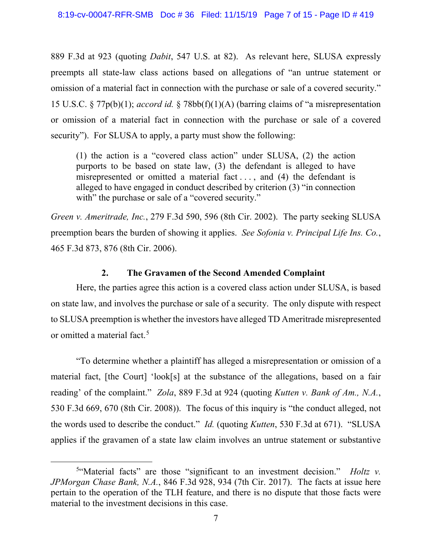889 F.3d at 923 (quoting *Dabit*, 547 U.S. at 82). As relevant here, SLUSA expressly preempts all state-law class actions based on allegations of "an untrue statement or omission of a material fact in connection with the purchase or sale of a covered security." 15 U.S.C. § 77p(b)(1); *accord id.* § 78bb(f)(1)(A) (barring claims of "a misrepresentation or omission of a material fact in connection with the purchase or sale of a covered security"). For SLUSA to apply, a party must show the following:

(1) the action is a "covered class action" under SLUSA, (2) the action purports to be based on state law, (3) the defendant is alleged to have misrepresented or omitted a material fact . . . , and (4) the defendant is alleged to have engaged in conduct described by criterion (3) "in connection with" the purchase or sale of a "covered security."

*Green v. Ameritrade, Inc.*, 279 F.3d 590, 596 (8th Cir. 2002). The party seeking SLUSA preemption bears the burden of showing it applies. *See Sofonia v. Principal Life Ins. Co.*, 465 F.3d 873, 876 (8th Cir. 2006).

# **2. The Gravamen of the Second Amended Complaint**

Here, the parties agree this action is a covered class action under SLUSA, is based on state law, and involves the purchase or sale of a security. The only dispute with respect to SLUSA preemption is whether the investors have alleged TD Ameritrade misrepresented or omitted a material fact.<sup>5</sup>

"To determine whether a plaintiff has alleged a misrepresentation or omission of a material fact, [the Court] 'look[s] at the substance of the allegations, based on a fair reading' of the complaint." *Zola*, 889 F.3d at 924 (quoting *Kutten v. Bank of Am., N.A.*, 530 F.3d 669, 670 (8th Cir. 2008)). The focus of this inquiry is "the conduct alleged, not the words used to describe the conduct." *Id.* (quoting *Kutten*, 530 F.3d at 671). "SLUSA applies if the gravamen of a state law claim involves an untrue statement or substantive

 $\frac{1}{5}$ <sup>5"</sup>Material facts" are those "significant to an investment decision." *Holtz v. JPMorgan Chase Bank, N.A.*, 846 F.3d 928, 934 (7th Cir. 2017). The facts at issue here pertain to the operation of the TLH feature, and there is no dispute that those facts were material to the investment decisions in this case.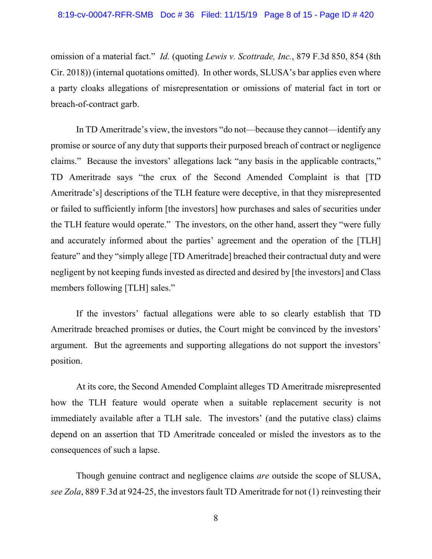omission of a material fact." *Id.* (quoting *Lewis v. Scottrade, Inc.*, 879 F.3d 850, 854 (8th Cir. 2018)) (internal quotations omitted). In other words, SLUSA's bar applies even where a party cloaks allegations of misrepresentation or omissions of material fact in tort or breach-of-contract garb.

In TD Ameritrade's view, the investors "do not—because they cannot—identify any promise or source of any duty that supports their purposed breach of contract or negligence claims." Because the investors' allegations lack "any basis in the applicable contracts," TD Ameritrade says "the crux of the Second Amended Complaint is that [TD Ameritrade's] descriptions of the TLH feature were deceptive, in that they misrepresented or failed to sufficiently inform [the investors] how purchases and sales of securities under the TLH feature would operate." The investors, on the other hand, assert they "were fully and accurately informed about the parties' agreement and the operation of the [TLH] feature" and they "simply allege [TD Ameritrade] breached their contractual duty and were negligent by not keeping funds invested as directed and desired by [the investors] and Class members following [TLH] sales."

If the investors' factual allegations were able to so clearly establish that TD Ameritrade breached promises or duties, the Court might be convinced by the investors' argument. But the agreements and supporting allegations do not support the investors' position.

At its core, the Second Amended Complaint alleges TD Ameritrade misrepresented how the TLH feature would operate when a suitable replacement security is not immediately available after a TLH sale. The investors' (and the putative class) claims depend on an assertion that TD Ameritrade concealed or misled the investors as to the consequences of such a lapse.

Though genuine contract and negligence claims *are* outside the scope of SLUSA, *see Zola*, 889 F.3d at 924-25, the investors fault TD Ameritrade for not (1) reinvesting their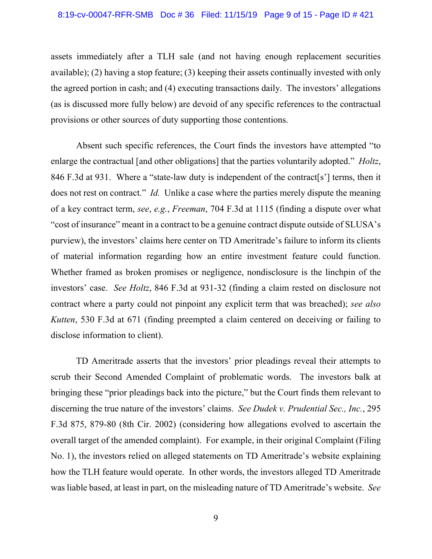assets immediately after a TLH sale (and not having enough replacement securities available); (2) having a stop feature; (3) keeping their assets continually invested with only the agreed portion in cash; and (4) executing transactions daily. The investors' allegations (as is discussed more fully below) are devoid of any specific references to the contractual provisions or other sources of duty supporting those contentions.

Absent such specific references, the Court finds the investors have attempted "to enlarge the contractual [and other obligations] that the parties voluntarily adopted." *Holtz*, 846 F.3d at 931. Where a "state-law duty is independent of the contract[s'] terms, then it does not rest on contract." *Id.* Unlike a case where the parties merely dispute the meaning of a key contract term, *see*, *e.g.*, *Freeman*, 704 F.3d at 1115 (finding a dispute over what "cost of insurance" meant in a contract to be a genuine contract dispute outside of SLUSA's purview), the investors' claims here center on TD Ameritrade's failure to inform its clients of material information regarding how an entire investment feature could function. Whether framed as broken promises or negligence, nondisclosure is the linchpin of the investors' case. *See Holtz*, 846 F.3d at 931-32 (finding a claim rested on disclosure not contract where a party could not pinpoint any explicit term that was breached); *see also Kutten*, 530 F.3d at 671 (finding preempted a claim centered on deceiving or failing to disclose information to client).

TD Ameritrade asserts that the investors' prior pleadings reveal their attempts to scrub their Second Amended Complaint of problematic words. The investors balk at bringing these "prior pleadings back into the picture," but the Court finds them relevant to discerning the true nature of the investors' claims. *See Dudek v. Prudential Sec., Inc.*, 295 F.3d 875, 879-80 (8th Cir. 2002) (considering how allegations evolved to ascertain the overall target of the amended complaint). For example, in their original Complaint (Filing No. 1), the investors relied on alleged statements on TD Ameritrade's website explaining how the TLH feature would operate. In other words, the investors alleged TD Ameritrade was liable based, at least in part, on the misleading nature of TD Ameritrade's website. *See*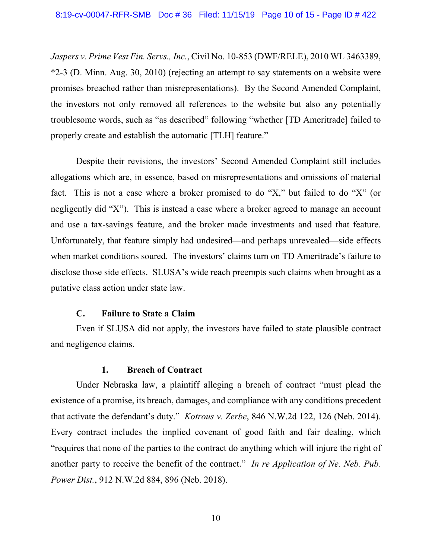*Jaspers v. Prime Vest Fin. Servs., Inc.*, Civil No. 10-853 (DWF/RELE), 2010 WL 3463389, \*2-3 (D. Minn. Aug. 30, 2010) (rejecting an attempt to say statements on a website were promises breached rather than misrepresentations). By the Second Amended Complaint, the investors not only removed all references to the website but also any potentially troublesome words, such as "as described" following "whether [TD Ameritrade] failed to properly create and establish the automatic [TLH] feature."

Despite their revisions, the investors' Second Amended Complaint still includes allegations which are, in essence, based on misrepresentations and omissions of material fact. This is not a case where a broker promised to do "X," but failed to do "X" (or negligently did "X"). This is instead a case where a broker agreed to manage an account and use a tax-savings feature, and the broker made investments and used that feature. Unfortunately, that feature simply had undesired—and perhaps unrevealed—side effects when market conditions soured. The investors' claims turn on TD Ameritrade's failure to disclose those side effects. SLUSA's wide reach preempts such claims when brought as a putative class action under state law.

# **C. Failure to State a Claim**

Even if SLUSA did not apply, the investors have failed to state plausible contract and negligence claims.

#### **1. Breach of Contract**

Under Nebraska law, a plaintiff alleging a breach of contract "must plead the existence of a promise, its breach, damages, and compliance with any conditions precedent that activate the defendant's duty." *Kotrous v. Zerbe*, 846 N.W.2d 122, 126 (Neb. 2014). Every contract includes the implied covenant of good faith and fair dealing, which "requires that none of the parties to the contract do anything which will injure the right of another party to receive the benefit of the contract." *In re Application of Ne. Neb. Pub. Power Dist.*, 912 N.W.2d 884, 896 (Neb. 2018).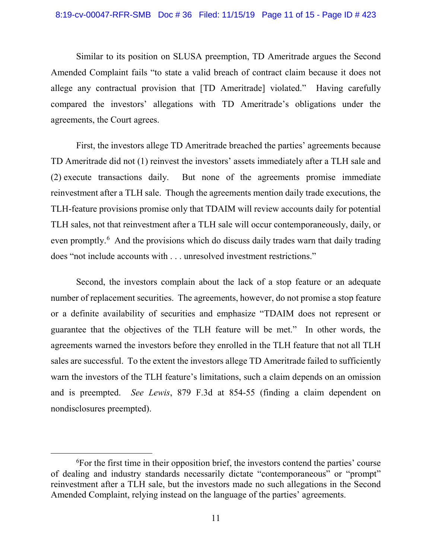Similar to its position on SLUSA preemption, TD Ameritrade argues the Second Amended Complaint fails "to state a valid breach of contract claim because it does not allege any contractual provision that [TD Ameritrade] violated." Having carefully compared the investors' allegations with TD Ameritrade's obligations under the agreements, the Court agrees.

 First, the investors allege TD Ameritrade breached the parties' agreements because TD Ameritrade did not (1) reinvest the investors' assets immediately after a TLH sale and (2) execute transactions daily. But none of the agreements promise immediate reinvestment after a TLH sale. Though the agreements mention daily trade executions, the TLH-feature provisions promise only that TDAIM will review accounts daily for potential TLH sales, not that reinvestment after a TLH sale will occur contemporaneously, daily, or even promptly.<sup>6</sup> And the provisions which do discuss daily trades warn that daily trading does "not include accounts with . . . unresolved investment restrictions."

Second, the investors complain about the lack of a stop feature or an adequate number of replacement securities. The agreements, however, do not promise a stop feature or a definite availability of securities and emphasize "TDAIM does not represent or guarantee that the objectives of the TLH feature will be met." In other words, the agreements warned the investors before they enrolled in the TLH feature that not all TLH sales are successful. To the extent the investors allege TD Ameritrade failed to sufficiently warn the investors of the TLH feature's limitations, such a claim depends on an omission and is preempted. *See Lewis*, 879 F.3d at 854-55 (finding a claim dependent on nondisclosures preempted).

 <sup>6</sup>  ${}^{6}$ For the first time in their opposition brief, the investors contend the parties' course of dealing and industry standards necessarily dictate "contemporaneous" or "prompt" reinvestment after a TLH sale, but the investors made no such allegations in the Second Amended Complaint, relying instead on the language of the parties' agreements.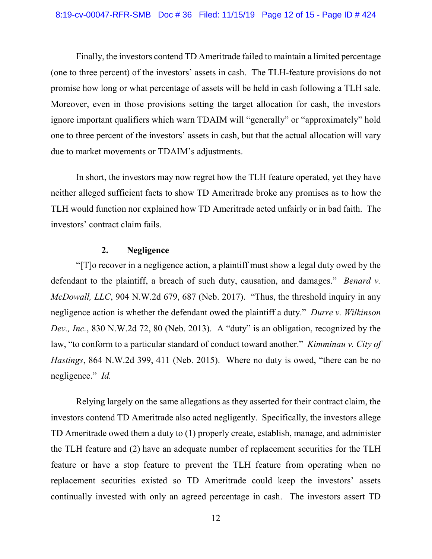Finally, the investors contend TD Ameritrade failed to maintain a limited percentage (one to three percent) of the investors' assets in cash. The TLH-feature provisions do not promise how long or what percentage of assets will be held in cash following a TLH sale. Moreover, even in those provisions setting the target allocation for cash, the investors ignore important qualifiers which warn TDAIM will "generally" or "approximately" hold one to three percent of the investors' assets in cash, but that the actual allocation will vary due to market movements or TDAIM's adjustments.

In short, the investors may now regret how the TLH feature operated, yet they have neither alleged sufficient facts to show TD Ameritrade broke any promises as to how the TLH would function nor explained how TD Ameritrade acted unfairly or in bad faith. The investors' contract claim fails.

#### **2. Negligence**

"[T]o recover in a negligence action, a plaintiff must show a legal duty owed by the defendant to the plaintiff, a breach of such duty, causation, and damages." *Benard v. McDowall, LLC*, 904 N.W.2d 679, 687 (Neb. 2017). "Thus, the threshold inquiry in any negligence action is whether the defendant owed the plaintiff a duty." *Durre v. Wilkinson Dev., Inc.*, 830 N.W.2d 72, 80 (Neb. 2013). A "duty" is an obligation, recognized by the law, "to conform to a particular standard of conduct toward another." *Kimminau v. City of Hastings*, 864 N.W.2d 399, 411 (Neb. 2015). Where no duty is owed, "there can be no negligence." *Id.* 

Relying largely on the same allegations as they asserted for their contract claim, the investors contend TD Ameritrade also acted negligently. Specifically, the investors allege TD Ameritrade owed them a duty to (1) properly create, establish, manage, and administer the TLH feature and (2) have an adequate number of replacement securities for the TLH feature or have a stop feature to prevent the TLH feature from operating when no replacement securities existed so TD Ameritrade could keep the investors' assets continually invested with only an agreed percentage in cash. The investors assert TD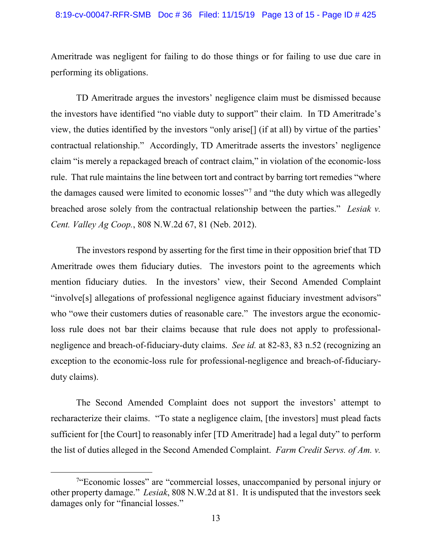Ameritrade was negligent for failing to do those things or for failing to use due care in performing its obligations.

TD Ameritrade argues the investors' negligence claim must be dismissed because the investors have identified "no viable duty to support" their claim. In TD Ameritrade's view, the duties identified by the investors "only arise[] (if at all) by virtue of the parties' contractual relationship." Accordingly, TD Ameritrade asserts the investors' negligence claim "is merely a repackaged breach of contract claim," in violation of the economic-loss rule. That rule maintains the line between tort and contract by barring tort remedies "where the damages caused were limited to economic losses"7 and "the duty which was allegedly breached arose solely from the contractual relationship between the parties." *Lesiak v. Cent. Valley Ag Coop.*, 808 N.W.2d 67, 81 (Neb. 2012).

The investors respond by asserting for the first time in their opposition brief that TD Ameritrade owes them fiduciary duties. The investors point to the agreements which mention fiduciary duties. In the investors' view, their Second Amended Complaint "involve[s] allegations of professional negligence against fiduciary investment advisors" who "owe their customers duties of reasonable care." The investors argue the economicloss rule does not bar their claims because that rule does not apply to professionalnegligence and breach-of-fiduciary-duty claims. *See id.* at 82-83, 83 n.52 (recognizing an exception to the economic-loss rule for professional-negligence and breach-of-fiduciaryduty claims).

The Second Amended Complaint does not support the investors' attempt to recharacterize their claims. "To state a negligence claim, [the investors] must plead facts sufficient for [the Court] to reasonably infer [TD Ameritrade] had a legal duty" to perform the list of duties alleged in the Second Amended Complaint. *Farm Credit Servs. of Am. v.* 

 <sup>7</sup> <sup>7"</sup>Economic losses" are "commercial losses, unaccompanied by personal injury or other property damage." *Lesiak*, 808 N.W.2d at 81. It is undisputed that the investors seek damages only for "financial losses."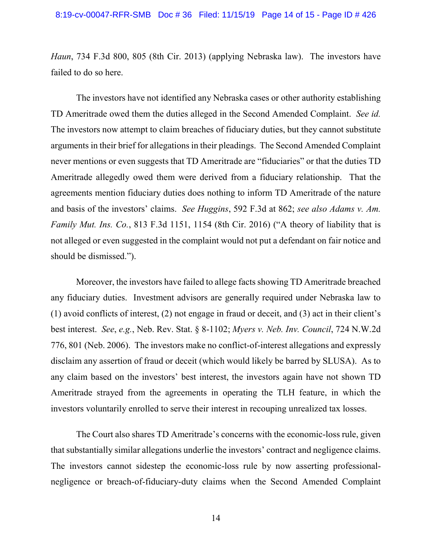*Haun*, 734 F.3d 800, 805 (8th Cir. 2013) (applying Nebraska law). The investors have failed to do so here.

The investors have not identified any Nebraska cases or other authority establishing TD Ameritrade owed them the duties alleged in the Second Amended Complaint. *See id.* The investors now attempt to claim breaches of fiduciary duties, but they cannot substitute arguments in their brief for allegations in their pleadings. The Second Amended Complaint never mentions or even suggests that TD Ameritrade are "fiduciaries" or that the duties TD Ameritrade allegedly owed them were derived from a fiduciary relationship. That the agreements mention fiduciary duties does nothing to inform TD Ameritrade of the nature and basis of the investors' claims. *See Huggins*, 592 F.3d at 862; *see also Adams v. Am. Family Mut. Ins. Co.*, 813 F.3d 1151, 1154 (8th Cir. 2016) ("A theory of liability that is not alleged or even suggested in the complaint would not put a defendant on fair notice and should be dismissed.").

Moreover, the investors have failed to allege facts showing TD Ameritrade breached any fiduciary duties. Investment advisors are generally required under Nebraska law to (1) avoid conflicts of interest, (2) not engage in fraud or deceit, and (3) act in their client's best interest. *See*, *e.g.*, Neb. Rev. Stat. § 8-1102; *Myers v. Neb. Inv. Council*, 724 N.W.2d 776, 801 (Neb. 2006). The investors make no conflict-of-interest allegations and expressly disclaim any assertion of fraud or deceit (which would likely be barred by SLUSA). As to any claim based on the investors' best interest, the investors again have not shown TD Ameritrade strayed from the agreements in operating the TLH feature, in which the investors voluntarily enrolled to serve their interest in recouping unrealized tax losses.

The Court also shares TD Ameritrade's concerns with the economic-loss rule, given that substantially similar allegations underlie the investors' contract and negligence claims. The investors cannot sidestep the economic-loss rule by now asserting professionalnegligence or breach-of-fiduciary-duty claims when the Second Amended Complaint